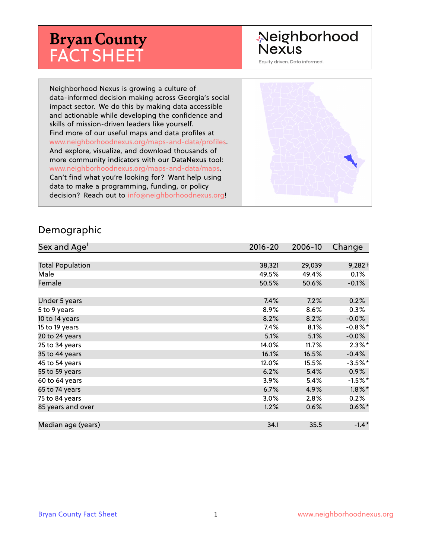# **Bryan County** FACT SHEET

# Neighborhood **Nexus**

Equity driven. Data informed.

Neighborhood Nexus is growing a culture of data-informed decision making across Georgia's social impact sector. We do this by making data accessible and actionable while developing the confidence and skills of mission-driven leaders like yourself. Find more of our useful maps and data profiles at www.neighborhoodnexus.org/maps-and-data/profiles. And explore, visualize, and download thousands of more community indicators with our DataNexus tool: www.neighborhoodnexus.org/maps-and-data/maps. Can't find what you're looking for? Want help using data to make a programming, funding, or policy decision? Reach out to [info@neighborhoodnexus.org!](mailto:info@neighborhoodnexus.org)



#### Demographic

| Sex and Age <sup>1</sup> | $2016 - 20$ | 2006-10 | Change     |
|--------------------------|-------------|---------|------------|
|                          |             |         |            |
| <b>Total Population</b>  | 38,321      | 29,039  | $9,282+$   |
| Male                     | 49.5%       | 49.4%   | 0.1%       |
| Female                   | 50.5%       | 50.6%   | $-0.1\%$   |
|                          |             |         |            |
| Under 5 years            | 7.4%        | 7.2%    | 0.2%       |
| 5 to 9 years             | 8.9%        | 8.6%    | $0.3\%$    |
| 10 to 14 years           | 8.2%        | 8.2%    | $-0.0%$    |
| 15 to 19 years           | 7.4%        | 8.1%    | $-0.8\%$ * |
| 20 to 24 years           | 5.1%        | 5.1%    | $-0.0%$    |
| 25 to 34 years           | 14.0%       | 11.7%   | $2.3\%$ *  |
| 35 to 44 years           | 16.1%       | 16.5%   | $-0.4%$    |
| 45 to 54 years           | 12.0%       | 15.5%   | $-3.5%$ *  |
| 55 to 59 years           | 6.2%        | 5.4%    | $0.9\%$    |
| 60 to 64 years           | 3.9%        | 5.4%    | $-1.5%$ *  |
| 65 to 74 years           | 6.7%        | 4.9%    | $1.8\%$ *  |
| 75 to 84 years           | 3.0%        | 2.8%    | $0.2\%$    |
| 85 years and over        | 1.2%        | 0.6%    | $0.6\%$ *  |
|                          |             |         |            |
| Median age (years)       | 34.1        | 35.5    | $-1.4*$    |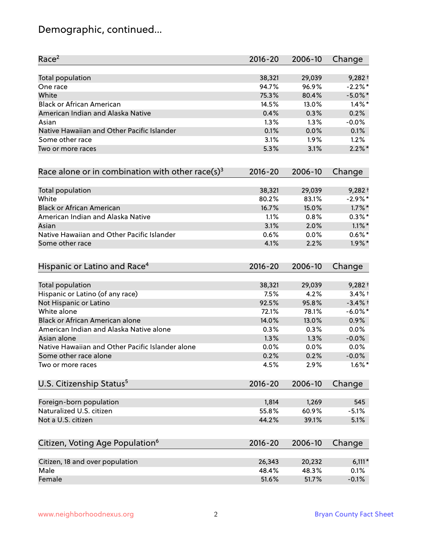# Demographic, continued...

| Race <sup>2</sup>                                   | $2016 - 20$ | 2006-10 | Change     |
|-----------------------------------------------------|-------------|---------|------------|
| <b>Total population</b>                             | 38,321      | 29,039  | $9,282+$   |
| One race                                            | 94.7%       | 96.9%   | $-2.2%$ *  |
| White                                               | 75.3%       | 80.4%   | $-5.0\%$ * |
| <b>Black or African American</b>                    | 14.5%       | 13.0%   | $1.4\%$ *  |
| American Indian and Alaska Native                   | 0.4%        | 0.3%    | 0.2%       |
| Asian                                               | 1.3%        | 1.3%    | $-0.0%$    |
| Native Hawaiian and Other Pacific Islander          | 0.1%        | 0.0%    | 0.1%       |
| Some other race                                     | 3.1%        | 1.9%    | 1.2%       |
| Two or more races                                   | 5.3%        | 3.1%    | $2.2\%$ *  |
| Race alone or in combination with other race(s) $3$ | $2016 - 20$ | 2006-10 | Change     |
| Total population                                    | 38,321      | 29,039  | $9,282+$   |
| White                                               | 80.2%       | 83.1%   | $-2.9\%$ * |
| <b>Black or African American</b>                    | 16.7%       | 15.0%   | $1.7\%$ *  |
| American Indian and Alaska Native                   | 1.1%        | 0.8%    | $0.3\%*$   |
| Asian                                               | 3.1%        | 2.0%    | $1.1\%$ *  |
| Native Hawaiian and Other Pacific Islander          | 0.6%        | 0.0%    | $0.6%$ *   |
| Some other race                                     | 4.1%        | 2.2%    | $1.9\%$ *  |
| Hispanic or Latino and Race <sup>4</sup>            | $2016 - 20$ | 2006-10 | Change     |
| <b>Total population</b>                             | 38,321      | 29,039  | $9,282+$   |
| Hispanic or Latino (of any race)                    | 7.5%        | 4.2%    | $3.4%$ +   |
| Not Hispanic or Latino                              | 92.5%       | 95.8%   | $-3.4%$ +  |
| White alone                                         | 72.1%       | 78.1%   | $-6.0\%$ * |
| Black or African American alone                     | 14.0%       | 13.0%   | 0.9%       |
| American Indian and Alaska Native alone             | 0.3%        | 0.3%    | 0.0%       |
| Asian alone                                         | 1.3%        | 1.3%    | $-0.0%$    |
| Native Hawaiian and Other Pacific Islander alone    | 0.0%        | $0.0\%$ | 0.0%       |
| Some other race alone                               | 0.2%        | 0.2%    | $-0.0%$    |
| Two or more races                                   | 4.5%        | 2.9%    | $1.6\%$ *  |
| U.S. Citizenship Status <sup>5</sup>                | $2016 - 20$ | 2006-10 | Change     |
| Foreign-born population                             | 1,814       | 1,269   | 545        |
| Naturalized U.S. citizen                            | 55.8%       | 60.9%   | $-5.1%$    |
| Not a U.S. citizen                                  | 44.2%       | 39.1%   | 5.1%       |
| Citizen, Voting Age Population <sup>6</sup>         | $2016 - 20$ | 2006-10 | Change     |
|                                                     |             |         |            |
| Citizen, 18 and over population                     | 26,343      | 20,232  | $6,111*$   |
| Male                                                | 48.4%       | 48.3%   | 0.1%       |
| Female                                              | 51.6%       | 51.7%   | $-0.1%$    |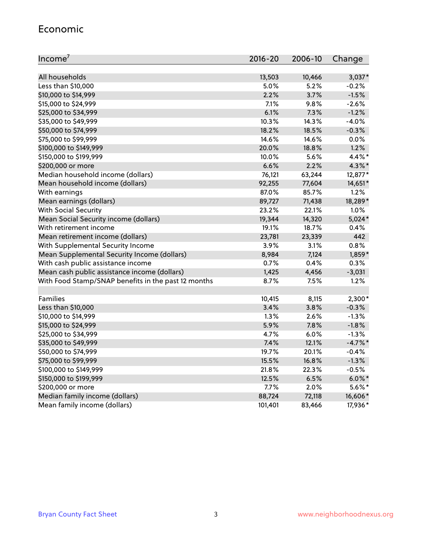#### Economic

| Income <sup>7</sup>                                 | $2016 - 20$ | 2006-10 | Change    |
|-----------------------------------------------------|-------------|---------|-----------|
|                                                     |             |         |           |
| All households                                      | 13,503      | 10,466  | $3,037*$  |
| Less than \$10,000                                  | 5.0%        | 5.2%    | $-0.2%$   |
| \$10,000 to \$14,999                                | 2.2%        | 3.7%    | $-1.5%$   |
| \$15,000 to \$24,999                                | 7.1%        | 9.8%    | $-2.6%$   |
| \$25,000 to \$34,999                                | 6.1%        | 7.3%    | $-1.2%$   |
| \$35,000 to \$49,999                                | 10.3%       | 14.3%   | $-4.0%$   |
| \$50,000 to \$74,999                                | 18.2%       | 18.5%   | $-0.3%$   |
| \$75,000 to \$99,999                                | 14.6%       | 14.6%   | 0.0%      |
| \$100,000 to \$149,999                              | 20.0%       | 18.8%   | 1.2%      |
| \$150,000 to \$199,999                              | 10.0%       | 5.6%    | 4.4%*     |
| \$200,000 or more                                   | 6.6%        | 2.2%    | 4.3%*     |
| Median household income (dollars)                   | 76,121      | 63,244  | 12,877*   |
| Mean household income (dollars)                     | 92,255      | 77,604  | 14,651*   |
| With earnings                                       | 87.0%       | 85.7%   | 1.2%      |
| Mean earnings (dollars)                             | 89,727      | 71,438  | 18,289*   |
| <b>With Social Security</b>                         | 23.2%       | 22.1%   | 1.0%      |
| Mean Social Security income (dollars)               | 19,344      | 14,320  | $5,024*$  |
| With retirement income                              | 19.1%       | 18.7%   | 0.4%      |
| Mean retirement income (dollars)                    | 23,781      | 23,339  | 442       |
| With Supplemental Security Income                   | 3.9%        | 3.1%    | 0.8%      |
| Mean Supplemental Security Income (dollars)         | 8,984       | 7,124   | 1,859*    |
| With cash public assistance income                  | 0.7%        | 0.4%    | 0.3%      |
| Mean cash public assistance income (dollars)        | 1,425       | 4,456   | $-3,031$  |
| With Food Stamp/SNAP benefits in the past 12 months | 8.7%        | 7.5%    | 1.2%      |
|                                                     |             |         |           |
| Families                                            | 10,415      | 8,115   | $2,300*$  |
| Less than \$10,000                                  | 3.4%        | 3.8%    | $-0.3%$   |
| \$10,000 to \$14,999                                | 1.3%        | 2.6%    | $-1.3%$   |
| \$15,000 to \$24,999                                | 5.9%        | 7.8%    | $-1.8%$   |
| \$25,000 to \$34,999                                | 4.7%        | 6.0%    | $-1.3%$   |
| \$35,000 to \$49,999                                | 7.4%        | 12.1%   | $-4.7%$ * |
| \$50,000 to \$74,999                                | 19.7%       | 20.1%   | $-0.4%$   |
| \$75,000 to \$99,999                                | 15.5%       | 16.8%   | $-1.3%$   |
| \$100,000 to \$149,999                              | 21.8%       | 22.3%   | $-0.5%$   |
| \$150,000 to \$199,999                              | 12.5%       | 6.5%    | $6.0\%$ * |
| \$200,000 or more                                   | 7.7%        | 2.0%    | 5.6%*     |
| Median family income (dollars)                      | 88,724      | 72,118  | 16,606*   |
| Mean family income (dollars)                        | 101,401     | 83,466  | 17,936*   |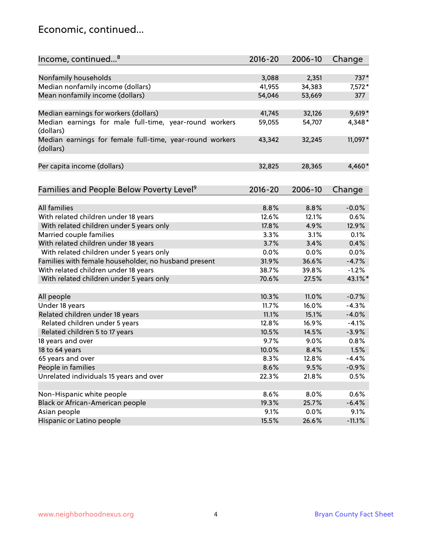### Economic, continued...

| Nonfamily households<br>2,351<br>737*<br>3,088<br>Median nonfamily income (dollars)<br>41,955<br>34,383<br>$7,572*$<br>Mean nonfamily income (dollars)<br>54,046<br>53,669<br>377<br>Median earnings for workers (dollars)<br>$9,619*$<br>41,745<br>32,126<br>Median earnings for male full-time, year-round workers<br>59,055<br>4,348*<br>54,707<br>(dollars)<br>11,097*<br>Median earnings for female full-time, year-round workers<br>43,342<br>32,245<br>(dollars)<br>Per capita income (dollars)<br>32,825<br>28,365<br>4,460*<br>Families and People Below Poverty Level <sup>9</sup><br>2016-20<br>2006-10<br>Change<br><b>All families</b><br>8.8%<br>8.8%<br>$-0.0%$<br>With related children under 18 years<br>12.6%<br>0.6%<br>12.1%<br>With related children under 5 years only<br>17.8%<br>12.9%<br>4.9%<br>Married couple families<br>3.3%<br>3.1%<br>0.1%<br>With related children under 18 years<br>3.7%<br>0.4%<br>3.4%<br>With related children under 5 years only<br>0.0%<br>0.0%<br>0.0%<br>Families with female householder, no husband present<br>36.6%<br>$-4.7%$<br>31.9%<br>With related children under 18 years<br>38.7%<br>39.8%<br>$-1.2%$<br>43.1%*<br>With related children under 5 years only<br>70.6%<br>27.5%<br>11.0%<br>$-0.7%$<br>All people<br>10.3%<br>Under 18 years<br>16.0%<br>$-4.3%$<br>11.7% |
|-------------------------------------------------------------------------------------------------------------------------------------------------------------------------------------------------------------------------------------------------------------------------------------------------------------------------------------------------------------------------------------------------------------------------------------------------------------------------------------------------------------------------------------------------------------------------------------------------------------------------------------------------------------------------------------------------------------------------------------------------------------------------------------------------------------------------------------------------------------------------------------------------------------------------------------------------------------------------------------------------------------------------------------------------------------------------------------------------------------------------------------------------------------------------------------------------------------------------------------------------------------------------------------------------------------------------------------------|
|                                                                                                                                                                                                                                                                                                                                                                                                                                                                                                                                                                                                                                                                                                                                                                                                                                                                                                                                                                                                                                                                                                                                                                                                                                                                                                                                           |
|                                                                                                                                                                                                                                                                                                                                                                                                                                                                                                                                                                                                                                                                                                                                                                                                                                                                                                                                                                                                                                                                                                                                                                                                                                                                                                                                           |
|                                                                                                                                                                                                                                                                                                                                                                                                                                                                                                                                                                                                                                                                                                                                                                                                                                                                                                                                                                                                                                                                                                                                                                                                                                                                                                                                           |
|                                                                                                                                                                                                                                                                                                                                                                                                                                                                                                                                                                                                                                                                                                                                                                                                                                                                                                                                                                                                                                                                                                                                                                                                                                                                                                                                           |
|                                                                                                                                                                                                                                                                                                                                                                                                                                                                                                                                                                                                                                                                                                                                                                                                                                                                                                                                                                                                                                                                                                                                                                                                                                                                                                                                           |
|                                                                                                                                                                                                                                                                                                                                                                                                                                                                                                                                                                                                                                                                                                                                                                                                                                                                                                                                                                                                                                                                                                                                                                                                                                                                                                                                           |
|                                                                                                                                                                                                                                                                                                                                                                                                                                                                                                                                                                                                                                                                                                                                                                                                                                                                                                                                                                                                                                                                                                                                                                                                                                                                                                                                           |
|                                                                                                                                                                                                                                                                                                                                                                                                                                                                                                                                                                                                                                                                                                                                                                                                                                                                                                                                                                                                                                                                                                                                                                                                                                                                                                                                           |
|                                                                                                                                                                                                                                                                                                                                                                                                                                                                                                                                                                                                                                                                                                                                                                                                                                                                                                                                                                                                                                                                                                                                                                                                                                                                                                                                           |
|                                                                                                                                                                                                                                                                                                                                                                                                                                                                                                                                                                                                                                                                                                                                                                                                                                                                                                                                                                                                                                                                                                                                                                                                                                                                                                                                           |
|                                                                                                                                                                                                                                                                                                                                                                                                                                                                                                                                                                                                                                                                                                                                                                                                                                                                                                                                                                                                                                                                                                                                                                                                                                                                                                                                           |
|                                                                                                                                                                                                                                                                                                                                                                                                                                                                                                                                                                                                                                                                                                                                                                                                                                                                                                                                                                                                                                                                                                                                                                                                                                                                                                                                           |
|                                                                                                                                                                                                                                                                                                                                                                                                                                                                                                                                                                                                                                                                                                                                                                                                                                                                                                                                                                                                                                                                                                                                                                                                                                                                                                                                           |
|                                                                                                                                                                                                                                                                                                                                                                                                                                                                                                                                                                                                                                                                                                                                                                                                                                                                                                                                                                                                                                                                                                                                                                                                                                                                                                                                           |
|                                                                                                                                                                                                                                                                                                                                                                                                                                                                                                                                                                                                                                                                                                                                                                                                                                                                                                                                                                                                                                                                                                                                                                                                                                                                                                                                           |
|                                                                                                                                                                                                                                                                                                                                                                                                                                                                                                                                                                                                                                                                                                                                                                                                                                                                                                                                                                                                                                                                                                                                                                                                                                                                                                                                           |
|                                                                                                                                                                                                                                                                                                                                                                                                                                                                                                                                                                                                                                                                                                                                                                                                                                                                                                                                                                                                                                                                                                                                                                                                                                                                                                                                           |
|                                                                                                                                                                                                                                                                                                                                                                                                                                                                                                                                                                                                                                                                                                                                                                                                                                                                                                                                                                                                                                                                                                                                                                                                                                                                                                                                           |
|                                                                                                                                                                                                                                                                                                                                                                                                                                                                                                                                                                                                                                                                                                                                                                                                                                                                                                                                                                                                                                                                                                                                                                                                                                                                                                                                           |
|                                                                                                                                                                                                                                                                                                                                                                                                                                                                                                                                                                                                                                                                                                                                                                                                                                                                                                                                                                                                                                                                                                                                                                                                                                                                                                                                           |
|                                                                                                                                                                                                                                                                                                                                                                                                                                                                                                                                                                                                                                                                                                                                                                                                                                                                                                                                                                                                                                                                                                                                                                                                                                                                                                                                           |
|                                                                                                                                                                                                                                                                                                                                                                                                                                                                                                                                                                                                                                                                                                                                                                                                                                                                                                                                                                                                                                                                                                                                                                                                                                                                                                                                           |
|                                                                                                                                                                                                                                                                                                                                                                                                                                                                                                                                                                                                                                                                                                                                                                                                                                                                                                                                                                                                                                                                                                                                                                                                                                                                                                                                           |
| Related children under 18 years<br>11.1%<br>15.1%<br>$-4.0%$                                                                                                                                                                                                                                                                                                                                                                                                                                                                                                                                                                                                                                                                                                                                                                                                                                                                                                                                                                                                                                                                                                                                                                                                                                                                              |
| Related children under 5 years<br>12.8%<br>16.9%<br>$-4.1%$                                                                                                                                                                                                                                                                                                                                                                                                                                                                                                                                                                                                                                                                                                                                                                                                                                                                                                                                                                                                                                                                                                                                                                                                                                                                               |
| Related children 5 to 17 years<br>14.5%<br>$-3.9%$<br>10.5%                                                                                                                                                                                                                                                                                                                                                                                                                                                                                                                                                                                                                                                                                                                                                                                                                                                                                                                                                                                                                                                                                                                                                                                                                                                                               |
| 0.8%<br>18 years and over<br>9.7%<br>9.0%                                                                                                                                                                                                                                                                                                                                                                                                                                                                                                                                                                                                                                                                                                                                                                                                                                                                                                                                                                                                                                                                                                                                                                                                                                                                                                 |
| 18 to 64 years<br>10.0%<br>8.4%<br>1.5%                                                                                                                                                                                                                                                                                                                                                                                                                                                                                                                                                                                                                                                                                                                                                                                                                                                                                                                                                                                                                                                                                                                                                                                                                                                                                                   |
| 65 years and over<br>8.3%<br>12.8%<br>$-4.4%$                                                                                                                                                                                                                                                                                                                                                                                                                                                                                                                                                                                                                                                                                                                                                                                                                                                                                                                                                                                                                                                                                                                                                                                                                                                                                             |
| People in families<br>8.6%<br>9.5%<br>$-0.9%$                                                                                                                                                                                                                                                                                                                                                                                                                                                                                                                                                                                                                                                                                                                                                                                                                                                                                                                                                                                                                                                                                                                                                                                                                                                                                             |
| Unrelated individuals 15 years and over                                                                                                                                                                                                                                                                                                                                                                                                                                                                                                                                                                                                                                                                                                                                                                                                                                                                                                                                                                                                                                                                                                                                                                                                                                                                                                   |
| 22.3%<br>21.8%<br>0.5%                                                                                                                                                                                                                                                                                                                                                                                                                                                                                                                                                                                                                                                                                                                                                                                                                                                                                                                                                                                                                                                                                                                                                                                                                                                                                                                    |
| Non-Hispanic white people<br>8.6%<br>8.0%<br>0.6%                                                                                                                                                                                                                                                                                                                                                                                                                                                                                                                                                                                                                                                                                                                                                                                                                                                                                                                                                                                                                                                                                                                                                                                                                                                                                         |
| Black or African-American people<br>19.3%<br>$-6.4%$<br>25.7%                                                                                                                                                                                                                                                                                                                                                                                                                                                                                                                                                                                                                                                                                                                                                                                                                                                                                                                                                                                                                                                                                                                                                                                                                                                                             |
| Asian people<br>9.1%<br>$0.0\%$<br>9.1%                                                                                                                                                                                                                                                                                                                                                                                                                                                                                                                                                                                                                                                                                                                                                                                                                                                                                                                                                                                                                                                                                                                                                                                                                                                                                                   |
| Hispanic or Latino people<br>15.5%<br>26.6%<br>$-11.1%$                                                                                                                                                                                                                                                                                                                                                                                                                                                                                                                                                                                                                                                                                                                                                                                                                                                                                                                                                                                                                                                                                                                                                                                                                                                                                   |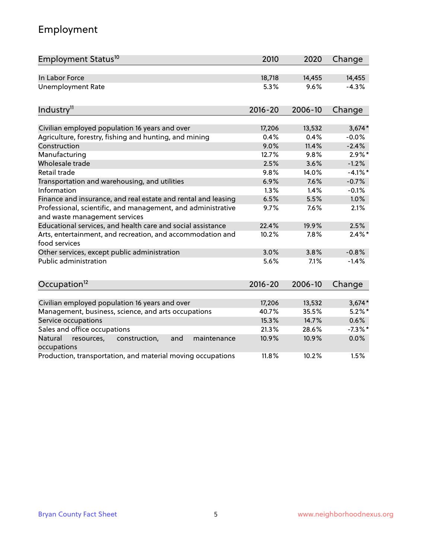# Employment

| Employment Status <sup>10</sup>                                                               | 2010        | 2020    | Change     |
|-----------------------------------------------------------------------------------------------|-------------|---------|------------|
| In Labor Force                                                                                | 18,718      | 14,455  | 14,455     |
| <b>Unemployment Rate</b>                                                                      | 5.3%        | 9.6%    | $-4.3%$    |
| Industry <sup>11</sup>                                                                        | $2016 - 20$ | 2006-10 | Change     |
|                                                                                               |             |         |            |
| Civilian employed population 16 years and over                                                | 17,206      | 13,532  | $3,674*$   |
| Agriculture, forestry, fishing and hunting, and mining                                        | 0.4%        | 0.4%    | $-0.0%$    |
| Construction                                                                                  | 9.0%        | 11.4%   | $-2.4%$    |
| Manufacturing                                                                                 | 12.7%       | 9.8%    | $2.9\%$ *  |
| Wholesale trade                                                                               | 2.5%        | 3.6%    | $-1.2%$    |
| Retail trade                                                                                  | 9.8%        | 14.0%   | $-4.1\%$ * |
| Transportation and warehousing, and utilities                                                 | 6.9%        | 7.6%    | $-0.7%$    |
| Information                                                                                   | 1.3%        | 1.4%    | $-0.1%$    |
| Finance and insurance, and real estate and rental and leasing                                 | 6.5%        | 5.5%    | 1.0%       |
| Professional, scientific, and management, and administrative<br>and waste management services | 9.7%        | 7.6%    | 2.1%       |
| Educational services, and health care and social assistance                                   | 22.4%       | 19.9%   | 2.5%       |
| Arts, entertainment, and recreation, and accommodation and<br>food services                   | 10.2%       | 7.8%    | $2.4\%$ *  |
| Other services, except public administration                                                  | 3.0%        | 3.8%    | $-0.8%$    |
| <b>Public administration</b>                                                                  | 5.6%        | 7.1%    | $-1.4%$    |
| Occupation <sup>12</sup>                                                                      | $2016 - 20$ | 2006-10 | Change     |
|                                                                                               |             |         |            |
| Civilian employed population 16 years and over                                                | 17,206      | 13,532  | $3,674*$   |
| Management, business, science, and arts occupations                                           | 40.7%       | 35.5%   | $5.2\%$ *  |
| Service occupations                                                                           | 15.3%       | 14.7%   | 0.6%       |
| Sales and office occupations                                                                  | 21.3%       | 28.6%   | $-7.3\%$ * |
| Natural<br>resources,<br>construction,<br>and<br>maintenance<br>occupations                   | 10.9%       | 10.9%   | 0.0%       |
| Production, transportation, and material moving occupations                                   | 11.8%       | 10.2%   | 1.5%       |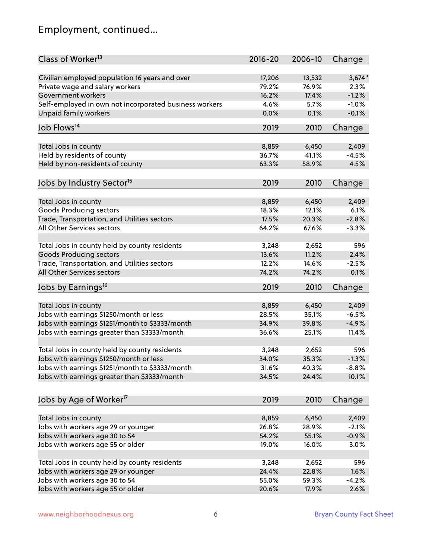# Employment, continued...

| Class of Worker <sup>13</sup>                          | $2016 - 20$ | 2006-10 | Change   |
|--------------------------------------------------------|-------------|---------|----------|
| Civilian employed population 16 years and over         | 17,206      | 13,532  | $3,674*$ |
| Private wage and salary workers                        | 79.2%       | 76.9%   | 2.3%     |
| Government workers                                     | 16.2%       | 17.4%   | $-1.2%$  |
| Self-employed in own not incorporated business workers | 4.6%        | 5.7%    | $-1.0%$  |
| <b>Unpaid family workers</b>                           | 0.0%        | 0.1%    | $-0.1%$  |
| Job Flows <sup>14</sup>                                | 2019        | 2010    | Change   |
|                                                        |             |         |          |
| Total Jobs in county                                   | 8,859       | 6,450   | 2,409    |
| Held by residents of county                            | 36.7%       | 41.1%   | $-4.5%$  |
| Held by non-residents of county                        | 63.3%       | 58.9%   | 4.5%     |
| Jobs by Industry Sector <sup>15</sup>                  | 2019        | 2010    | Change   |
|                                                        | 8,859       | 6,450   | 2,409    |
| Total Jobs in county<br><b>Goods Producing sectors</b> | 18.3%       | 12.1%   | 6.1%     |
| Trade, Transportation, and Utilities sectors           | 17.5%       | 20.3%   | $-2.8%$  |
| All Other Services sectors                             |             |         |          |
|                                                        | 64.2%       | 67.6%   | $-3.3%$  |
| Total Jobs in county held by county residents          | 3,248       | 2,652   | 596      |
| <b>Goods Producing sectors</b>                         | 13.6%       | 11.2%   | 2.4%     |
| Trade, Transportation, and Utilities sectors           | 12.2%       | 14.6%   | $-2.5%$  |
| All Other Services sectors                             | 74.2%       | 74.2%   | 0.1%     |
| Jobs by Earnings <sup>16</sup>                         | 2019        | 2010    | Change   |
|                                                        |             |         |          |
| Total Jobs in county                                   | 8,859       | 6,450   | 2,409    |
| Jobs with earnings \$1250/month or less                | 28.5%       | 35.1%   | $-6.5%$  |
| Jobs with earnings \$1251/month to \$3333/month        | 34.9%       | 39.8%   | $-4.9%$  |
| Jobs with earnings greater than \$3333/month           | 36.6%       | 25.1%   | 11.4%    |
| Total Jobs in county held by county residents          | 3,248       | 2,652   | 596      |
| Jobs with earnings \$1250/month or less                | 34.0%       | 35.3%   | $-1.3%$  |
| Jobs with earnings \$1251/month to \$3333/month        | 31.6%       | 40.3%   | $-8.8\%$ |
| Jobs with earnings greater than \$3333/month           | 34.5%       | 24.4%   | 10.1%    |
|                                                        |             |         |          |
| Jobs by Age of Worker <sup>17</sup>                    | 2019        | 2010    | Change   |
| Total Jobs in county                                   | 8,859       | 6,450   | 2,409    |
| Jobs with workers age 29 or younger                    | 26.8%       | 28.9%   | $-2.1%$  |
| Jobs with workers age 30 to 54                         | 54.2%       | 55.1%   | $-0.9%$  |
| Jobs with workers age 55 or older                      | 19.0%       | 16.0%   | 3.0%     |
|                                                        |             |         |          |
| Total Jobs in county held by county residents          | 3,248       | 2,652   | 596      |
| Jobs with workers age 29 or younger                    | 24.4%       | 22.8%   | 1.6%     |
| Jobs with workers age 30 to 54                         | 55.0%       | 59.3%   | $-4.2%$  |
| Jobs with workers age 55 or older                      | 20.6%       | 17.9%   | 2.6%     |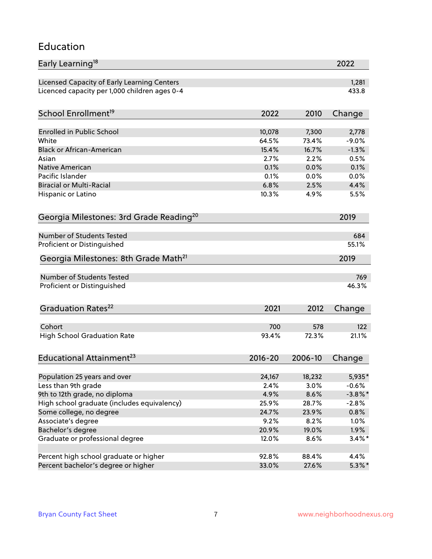### Education

| Early Learning <sup>18</sup>                        |             |         | 2022       |
|-----------------------------------------------------|-------------|---------|------------|
| Licensed Capacity of Early Learning Centers         |             |         | 1,281      |
| Licenced capacity per 1,000 children ages 0-4       |             |         | 433.8      |
| School Enrollment <sup>19</sup>                     | 2022        | 2010    |            |
|                                                     |             |         | Change     |
| <b>Enrolled in Public School</b>                    | 10,078      | 7,300   | 2,778      |
| White                                               | 64.5%       | 73.4%   | $-9.0%$    |
| <b>Black or African-American</b>                    | 15.4%       | 16.7%   | $-1.3%$    |
| Asian                                               | 2.7%        | 2.2%    | 0.5%       |
| Native American                                     | 0.1%        | 0.0%    | 0.1%       |
| Pacific Islander                                    | 0.1%        | 0.0%    | 0.0%       |
| <b>Biracial or Multi-Racial</b>                     | 6.8%        | 2.5%    | 4.4%       |
| Hispanic or Latino                                  | 10.3%       | 4.9%    | 5.5%       |
| Georgia Milestones: 3rd Grade Reading <sup>20</sup> |             |         | 2019       |
|                                                     |             |         |            |
| <b>Number of Students Tested</b>                    |             |         | 684        |
| Proficient or Distinguished                         |             |         | 55.1%      |
| Georgia Milestones: 8th Grade Math <sup>21</sup>    |             |         | 2019       |
| Number of Students Tested                           |             |         | 769        |
| Proficient or Distinguished                         |             |         | 46.3%      |
|                                                     |             |         |            |
| Graduation Rates <sup>22</sup>                      | 2021        | 2012    | Change     |
| Cohort                                              | 700         | 578     | 122        |
| <b>High School Graduation Rate</b>                  | 93.4%       | 72.3%   | 21.1%      |
|                                                     |             |         |            |
| Educational Attainment <sup>23</sup>                | $2016 - 20$ | 2006-10 | Change     |
|                                                     |             |         |            |
| Population 25 years and over                        | 24,167      | 18,232  | 5,935*     |
| Less than 9th grade                                 | 2.4%        | 3.0%    | $-0.6%$    |
| 9th to 12th grade, no diploma                       | 4.9%        | 8.6%    | $-3.8\%$ * |
| High school graduate (includes equivalency)         | 25.9%       | 28.7%   | $-2.8%$    |
| Some college, no degree                             | 24.7%       | 23.9%   | 0.8%       |
| Associate's degree                                  | 9.2%        | 8.2%    | 1.0%       |
| Bachelor's degree                                   | 20.9%       | 19.0%   | 1.9%       |
| Graduate or professional degree                     | 12.0%       | 8.6%    | $3.4\%$ *  |
| Percent high school graduate or higher              | 92.8%       | 88.4%   | 4.4%       |
| Percent bachelor's degree or higher                 | 33.0%       | 27.6%   | $5.3\%$ *  |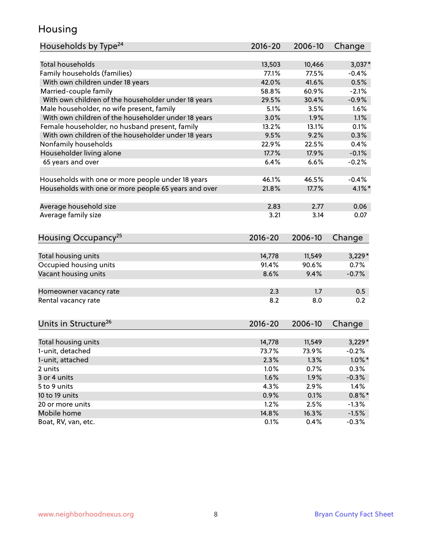### Housing

| Households by Type <sup>24</sup>                     | 2016-20 | 2006-10 | Change    |
|------------------------------------------------------|---------|---------|-----------|
|                                                      |         |         |           |
| <b>Total households</b>                              | 13,503  | 10,466  | $3,037*$  |
| Family households (families)                         | 77.1%   | 77.5%   | $-0.4%$   |
| With own children under 18 years                     | 42.0%   | 41.6%   | 0.5%      |
| Married-couple family                                | 58.8%   | 60.9%   | $-2.1%$   |
| With own children of the householder under 18 years  | 29.5%   | 30.4%   | $-0.9%$   |
| Male householder, no wife present, family            | 5.1%    | 3.5%    | 1.6%      |
| With own children of the householder under 18 years  | 3.0%    | 1.9%    | 1.1%      |
| Female householder, no husband present, family       | 13.2%   | 13.1%   | 0.1%      |
| With own children of the householder under 18 years  | 9.5%    | 9.2%    | 0.3%      |
| Nonfamily households                                 | 22.9%   | 22.5%   | 0.4%      |
| Householder living alone                             | 17.7%   | 17.9%   | $-0.1%$   |
| 65 years and over                                    | 6.4%    | 6.6%    | $-0.2%$   |
|                                                      |         |         |           |
| Households with one or more people under 18 years    | 46.1%   | 46.5%   | $-0.4%$   |
| Households with one or more people 65 years and over | 21.8%   | 17.7%   | $4.1\%$ * |
|                                                      |         |         |           |
| Average household size                               | 2.83    | 2.77    | 0.06      |
| Average family size                                  | 3.21    | 3.14    | 0.07      |
|                                                      |         |         |           |
| Housing Occupancy <sup>25</sup>                      | 2016-20 | 2006-10 | Change    |
|                                                      |         |         |           |
| Total housing units                                  | 14,778  | 11,549  | $3,229*$  |
| Occupied housing units                               | 91.4%   | 90.6%   | 0.7%      |
| Vacant housing units                                 | 8.6%    | 9.4%    | $-0.7%$   |
|                                                      |         |         |           |
| Homeowner vacancy rate                               | 2.3     | 1.7     | 0.5       |
| Rental vacancy rate                                  | 8.2     | 8.0     | 0.2       |
|                                                      |         |         |           |
|                                                      |         |         |           |
| Units in Structure <sup>26</sup>                     | 2016-20 | 2006-10 | Change    |
|                                                      |         |         |           |
| Total housing units                                  | 14,778  | 11,549  | $3,229*$  |
| 1-unit, detached                                     | 73.7%   | 73.9%   | $-0.2%$   |
| 1-unit, attached                                     | 2.3%    | 1.3%    | $1.0\%$ * |
| 2 units                                              | 1.0%    | 0.7%    | 0.3%      |
| 3 or 4 units                                         | 1.6%    | 1.9%    | $-0.3%$   |
| 5 to 9 units                                         | 4.3%    | 2.9%    | 1.4%      |
| 10 to 19 units                                       | 0.9%    | 0.1%    | $0.8\%$ * |
| 20 or more units                                     | 1.2%    | 2.5%    | $-1.3%$   |
| Mobile home                                          | 14.8%   | 16.3%   | $-1.5%$   |
| Boat, RV, van, etc.                                  | 0.1%    | 0.4%    | $-0.3%$   |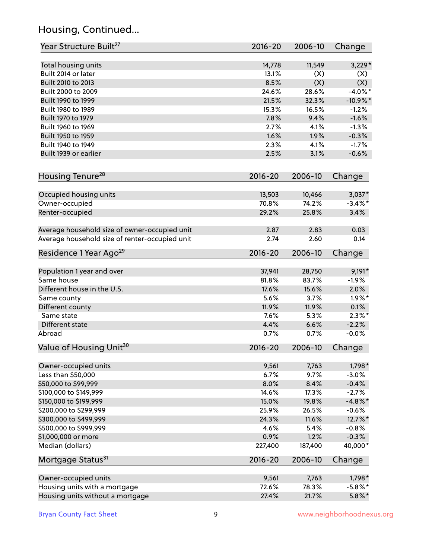# Housing, Continued...

| Year Structure Built <sup>27</sup>             | 2016-20         | 2006-10         | Change                 |
|------------------------------------------------|-----------------|-----------------|------------------------|
| Total housing units                            | 14,778          | 11,549          | $3,229*$               |
| Built 2014 or later                            | 13.1%           | (X)             | (X)                    |
| Built 2010 to 2013                             | 8.5%            | (X)             | (X)                    |
| Built 2000 to 2009                             | 24.6%           | 28.6%           | $-4.0\%$ *             |
| Built 1990 to 1999                             | 21.5%           | 32.3%           | $-10.9%$ *             |
| Built 1980 to 1989                             | 15.3%           | 16.5%           | $-1.2%$                |
| Built 1970 to 1979                             | 7.8%            | 9.4%            | $-1.6%$                |
| Built 1960 to 1969                             | 2.7%            | 4.1%            | $-1.3%$                |
| Built 1950 to 1959                             | 1.6%            | 1.9%            | $-0.3%$                |
| Built 1940 to 1949                             | 2.3%            | 4.1%            | $-1.7%$                |
| Built 1939 or earlier                          | 2.5%            | 3.1%            | $-0.6%$                |
| Housing Tenure <sup>28</sup>                   | $2016 - 20$     | 2006-10         | Change                 |
|                                                |                 |                 |                        |
| Occupied housing units                         | 13,503<br>70.8% | 10,466<br>74.2% | $3,037*$<br>$-3.4\%$ * |
| Owner-occupied                                 | 29.2%           | 25.8%           | 3.4%                   |
| Renter-occupied                                |                 |                 |                        |
| Average household size of owner-occupied unit  | 2.87            | 2.83            | 0.03                   |
| Average household size of renter-occupied unit | 2.74            | 2.60            | 0.14                   |
| Residence 1 Year Ago <sup>29</sup>             | $2016 - 20$     | 2006-10         | Change                 |
|                                                |                 |                 |                        |
| Population 1 year and over                     | 37,941          | 28,750          | $9,191*$               |
| Same house                                     | 81.8%           | 83.7%           | $-1.9%$                |
| Different house in the U.S.                    | 17.6%           | 15.6%           | 2.0%                   |
| Same county                                    | 5.6%            | 3.7%            | $1.9\%$ *              |
| Different county<br>Same state                 | 11.9%<br>7.6%   | 11.9%<br>5.3%   | 0.1%<br>$2.3\%$ *      |
|                                                |                 |                 |                        |
| Different state                                | 4.4%            | 6.6%<br>0.7%    | $-2.2%$                |
| Abroad                                         | 0.7%            |                 | $-0.0%$                |
| Value of Housing Unit <sup>30</sup>            | 2016-20         | 2006-10         | Change                 |
| Owner-occupied units                           | 9,561           | 7,763           | 1,798*                 |
| Less than \$50,000                             | 6.7%            | 9.7%            | $-3.0%$                |
| \$50,000 to \$99,999                           | 8.0%            | 8.4%            | $-0.4%$                |
| \$100,000 to \$149,999                         | 14.6%           | 17.3%           | $-2.7%$                |
| \$150,000 to \$199,999                         | 15.0%           | 19.8%           | $-4.8\%$ *             |
| \$200,000 to \$299,999                         | 25.9%           | 26.5%           | $-0.6%$                |
| \$300,000 to \$499,999                         | 24.3%           | 11.6%           | 12.7%*                 |
| \$500,000 to \$999,999                         | 4.6%            | 5.4%            | $-0.8%$                |
| \$1,000,000 or more                            | 0.9%            | 1.2%            | $-0.3%$                |
| Median (dollars)                               | 227,400         | 187,400         | 40,000*                |
| Mortgage Status <sup>31</sup>                  | $2016 - 20$     | 2006-10         | Change                 |
| Owner-occupied units                           | 9,561           | 7,763           | 1,798*                 |
| Housing units with a mortgage                  | 72.6%           | 78.3%           | $-5.8\%$ *             |
| Housing units without a mortgage               | 27.4%           | 21.7%           | $5.8\%$ *              |
|                                                |                 |                 |                        |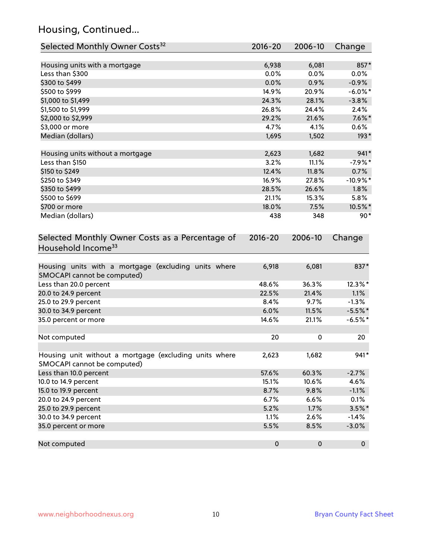# Housing, Continued...

| Selected Monthly Owner Costs <sup>32</sup>                                            | 2016-20     | 2006-10   | Change      |
|---------------------------------------------------------------------------------------|-------------|-----------|-------------|
| Housing units with a mortgage                                                         | 6,938       | 6,081     | 857*        |
| Less than \$300                                                                       | 0.0%        | 0.0%      | $0.0\%$     |
| \$300 to \$499                                                                        | 0.0%        | 0.9%      | $-0.9%$     |
| \$500 to \$999                                                                        | 14.9%       | 20.9%     | $-6.0\%$ *  |
| \$1,000 to \$1,499                                                                    | 24.3%       | 28.1%     | $-3.8%$     |
| \$1,500 to \$1,999                                                                    | 26.8%       | 24.4%     | 2.4%        |
| \$2,000 to \$2,999                                                                    | 29.2%       | 21.6%     | $7.6\%$ *   |
| \$3,000 or more                                                                       | 4.7%        | 4.1%      | 0.6%        |
| Median (dollars)                                                                      | 1,695       | 1,502     | $193*$      |
| Housing units without a mortgage                                                      | 2,623       | 1,682     | $941*$      |
| Less than \$150                                                                       | 3.2%        | 11.1%     | $-7.9%$ *   |
| \$150 to \$249                                                                        | 12.4%       | 11.8%     | 0.7%        |
| \$250 to \$349                                                                        | 16.9%       | 27.8%     | $-10.9\%$ * |
| \$350 to \$499                                                                        | 28.5%       | 26.6%     | $1.8\%$     |
| \$500 to \$699                                                                        | 21.1%       | 15.3%     | 5.8%        |
| \$700 or more                                                                         | 18.0%       | 7.5%      | 10.5%*      |
| Median (dollars)                                                                      | 438         | 348       | $90*$       |
| Selected Monthly Owner Costs as a Percentage of<br>Household Income <sup>33</sup>     | $2016 - 20$ | 2006-10   | Change      |
| Housing units with a mortgage (excluding units where<br>SMOCAPI cannot be computed)   | 6,918       | 6,081     | 837*        |
| Less than 20.0 percent                                                                | 48.6%       | 36.3%     | 12.3%*      |
| 20.0 to 24.9 percent                                                                  | 22.5%       | 21.4%     | 1.1%        |
| 25.0 to 29.9 percent                                                                  | 8.4%        | 9.7%      | $-1.3%$     |
| 30.0 to 34.9 percent                                                                  | 6.0%        | 11.5%     | $-5.5%$ *   |
| 35.0 percent or more                                                                  | 14.6%       | 21.1%     | $-6.5%$ *   |
| Not computed                                                                          | 20          | 0         | 20          |
| Housing unit without a mortgage (excluding units where<br>SMOCAPI cannot be computed) | 2,623       | 1,682     | 941*        |
| Less than 10.0 percent                                                                | 57.6%       | 60.3%     | $-2.7%$     |
| 10.0 to 14.9 percent                                                                  | 15.1%       | 10.6%     | 4.6%        |
| 15.0 to 19.9 percent                                                                  | 8.7%        | 9.8%      | $-1.1%$     |
| 20.0 to 24.9 percent                                                                  | 6.7%        | 6.6%      | 0.1%        |
| 25.0 to 29.9 percent                                                                  | 5.2%        | 1.7%      | $3.5\%$ *   |
| 30.0 to 34.9 percent                                                                  | 1.1%        | 2.6%      | $-1.4%$     |
| 35.0 percent or more                                                                  | 5.5%        | 8.5%      | $-3.0%$     |
| Not computed                                                                          | $\pmb{0}$   | $\pmb{0}$ | $\mathbf 0$ |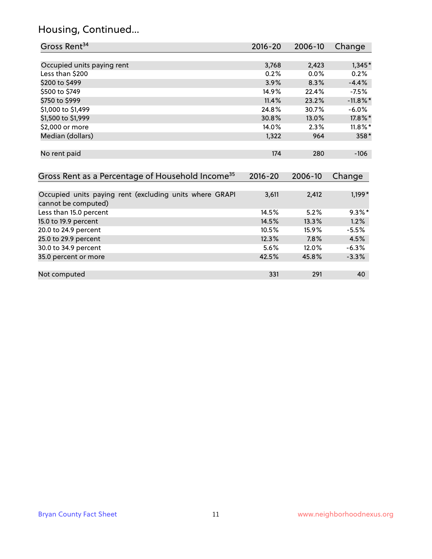# Housing, Continued...

| Gross Rent <sup>34</sup>                                                       | 2016-20            | 2006-10        | Change           |
|--------------------------------------------------------------------------------|--------------------|----------------|------------------|
|                                                                                |                    |                |                  |
| Occupied units paying rent                                                     | 3,768              | 2,423          | $1,345*$         |
| Less than \$200                                                                | 0.2%               | 0.0%           | 0.2%             |
| \$200 to \$499                                                                 | 3.9%               | 8.3%           | $-4.4%$          |
| \$500 to \$749                                                                 | 14.9%              | 22.4%          | $-7.5%$          |
| \$750 to \$999                                                                 | 11.4%              | 23.2%          | $-11.8\%$ *      |
| \$1,000 to \$1,499                                                             | 24.8%              | 30.7%          | $-6.0%$          |
| \$1,500 to \$1,999                                                             | 30.8%              | 13.0%          | 17.8%*           |
| \$2,000 or more                                                                | 14.0%              | 2.3%           | $11.8\%$ *       |
| Median (dollars)                                                               | 1,322              | 964            | 358*             |
| No rent paid<br>Gross Rent as a Percentage of Household Income <sup>35</sup>   | 174<br>$2016 - 20$ | 280<br>2006-10 | $-106$<br>Change |
|                                                                                |                    |                |                  |
| Occupied units paying rent (excluding units where GRAPI<br>cannot be computed) | 3,611              | 2,412          | $1,199*$         |
| Less than 15.0 percent                                                         | 14.5%              | 5.2%           | $9.3\%$ *        |
| 15.0 to 19.9 percent                                                           | 14.5%              | 13.3%          | 1.2%             |
| 20.0 to 24.9 percent                                                           | 10.5%              | 15.9%          | $-5.5%$          |
| 25.0 to 29.9 percent                                                           | 12.3%              | 7.8%           | 4.5%             |
| 30.0 to 34.9 percent                                                           | 5.6%               | 12.0%          | $-6.3%$          |
| 35.0 percent or more                                                           | 42.5%              | 45.8%          | $-3.3%$          |
| Not computed                                                                   | 331                | 291            | 40               |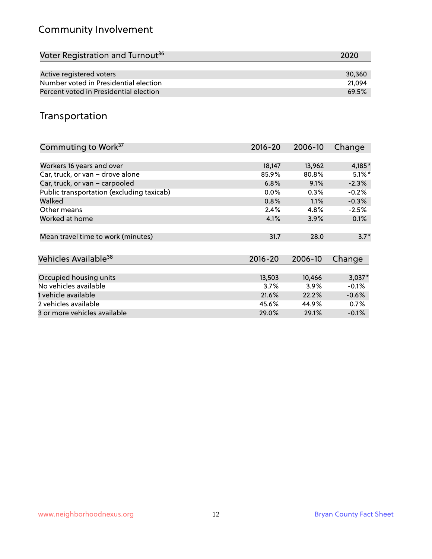# Community Involvement

| Voter Registration and Turnout <sup>36</sup> | 2020   |
|----------------------------------------------|--------|
|                                              |        |
| Active registered voters                     | 30,360 |
| Number voted in Presidential election        | 21.094 |
| Percent voted in Presidential election       | 69.5%  |

# Transportation

| Commuting to Work <sup>37</sup>           | 2016-20     | 2006-10 | Change    |
|-------------------------------------------|-------------|---------|-----------|
|                                           |             |         |           |
| Workers 16 years and over                 | 18,147      | 13,962  | 4,185*    |
| Car, truck, or van - drove alone          | 85.9%       | 80.8%   | $5.1\%$ * |
| Car, truck, or van - carpooled            | 6.8%        | 9.1%    | $-2.3%$   |
| Public transportation (excluding taxicab) | 0.0%        | $0.3\%$ | $-0.2%$   |
| Walked                                    | 0.8%        | $1.1\%$ | $-0.3%$   |
| Other means                               | 2.4%        | 4.8%    | $-2.5%$   |
| Worked at home                            | 4.1%        | 3.9%    | 0.1%      |
| Mean travel time to work (minutes)        | 31.7        | 28.0    | $3.7*$    |
| Vehicles Available <sup>38</sup>          | $2016 - 20$ | 2006-10 | Change    |
| Occupied housing units                    | 13,503      | 10,466  | $3,037*$  |
| No vehicles available                     | 3.7%        | $3.9\%$ | $-0.1%$   |
| 1 vehicle available                       | 21.6%       | 22.2%   | $-0.6%$   |
| 2 vehicles available                      | 45.6%       | 44.9%   | 0.7%      |
| 3 or more vehicles available              | 29.0%       | 29.1%   | $-0.1%$   |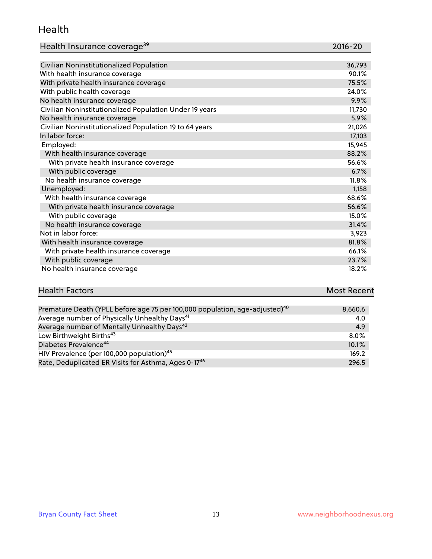#### Health

| Health Insurance coverage <sup>39</sup> | 2016-20 |
|-----------------------------------------|---------|
|-----------------------------------------|---------|

| Civilian Noninstitutionalized Population                | 36,793 |
|---------------------------------------------------------|--------|
| With health insurance coverage                          | 90.1%  |
| With private health insurance coverage                  | 75.5%  |
| With public health coverage                             | 24.0%  |
| No health insurance coverage                            | 9.9%   |
| Civilian Noninstitutionalized Population Under 19 years | 11,730 |
| No health insurance coverage                            | 5.9%   |
| Civilian Noninstitutionalized Population 19 to 64 years | 21,026 |
| In labor force:                                         | 17,103 |
| Employed:                                               | 15,945 |
| With health insurance coverage                          | 88.2%  |
| With private health insurance coverage                  | 56.6%  |
| With public coverage                                    | 6.7%   |
| No health insurance coverage                            | 11.8%  |
| Unemployed:                                             | 1,158  |
| With health insurance coverage                          | 68.6%  |
| With private health insurance coverage                  | 56.6%  |
| With public coverage                                    | 15.0%  |
| No health insurance coverage                            | 31.4%  |
| Not in labor force:                                     | 3,923  |
| With health insurance coverage                          | 81.8%  |
| With private health insurance coverage                  | 66.1%  |
| With public coverage                                    | 23.7%  |
| No health insurance coverage                            | 18.2%  |

# **Health Factors Most Recent** And The Control of the Control of The Control of The Control of The Control of The Control of The Control of The Control of The Control of The Control of The Control of The Control of The Contr

| Premature Death (YPLL before age 75 per 100,000 population, age-adjusted) <sup>40</sup> | 8,660.6 |
|-----------------------------------------------------------------------------------------|---------|
| Average number of Physically Unhealthy Days <sup>41</sup>                               | 4.0     |
| Average number of Mentally Unhealthy Days <sup>42</sup>                                 | 4.9     |
| Low Birthweight Births <sup>43</sup>                                                    | $8.0\%$ |
| Diabetes Prevalence <sup>44</sup>                                                       | 10.1%   |
| HIV Prevalence (per 100,000 population) <sup>45</sup>                                   | 169.2   |
| Rate, Deduplicated ER Visits for Asthma, Ages 0-17 <sup>46</sup>                        | 296.5   |